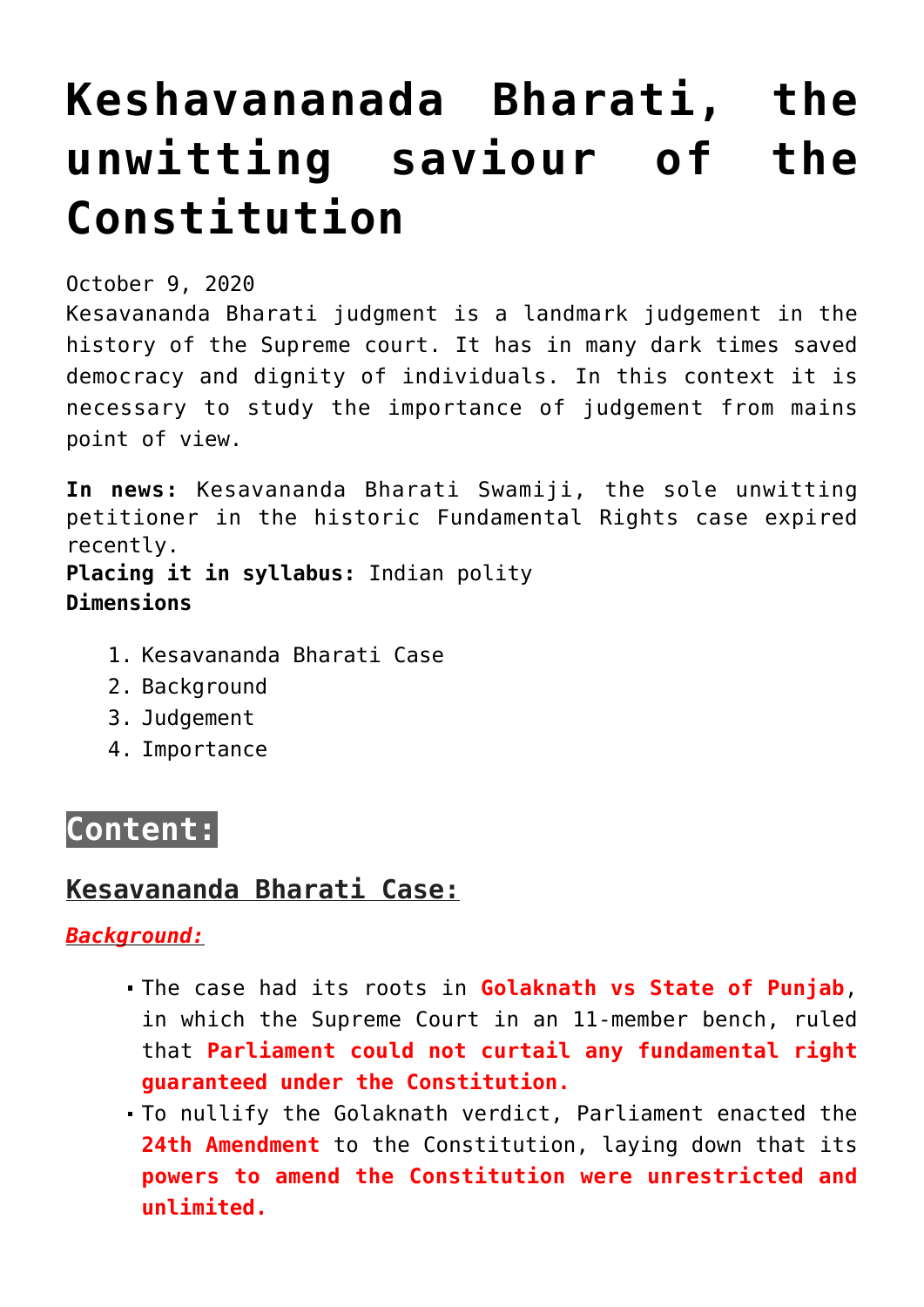# **[Keshavananada Bharati, the](https://journalsofindia.com/keshavananada-bharati-the-unwitting-saviour-of-the-constitution/) [unwitting saviour of the](https://journalsofindia.com/keshavananada-bharati-the-unwitting-saviour-of-the-constitution/) [Constitution](https://journalsofindia.com/keshavananada-bharati-the-unwitting-saviour-of-the-constitution/)**

October 9, 2020

Kesavananda Bharati judgment is a landmark judgement in the history of the Supreme court. It has in many dark times saved democracy and dignity of individuals. In this context it is necessary to study the importance of judgement from mains point of view.

**In news:** Kesavananda Bharati Swamiji, the sole unwitting petitioner in the historic Fundamental Rights case expired recently.

**Placing it in syllabus:** Indian polity **Dimensions**

- 1. Kesavananda Bharati Case
- 2. Background
- 3. Judgement
- 4. Importance

## **Content:**

## **Kesavananda Bharati Case:**

*Background:*

- The case had its roots in **Golaknath vs State of Punjab**, in which the Supreme Court in an 11-member bench, ruled that **Parliament could not curtail any fundamental right guaranteed under the Constitution.**
- To nullify the Golaknath verdict, Parliament enacted the **24th Amendment** to the Constitution, laying down that its **powers to amend the Constitution were unrestricted and unlimited.**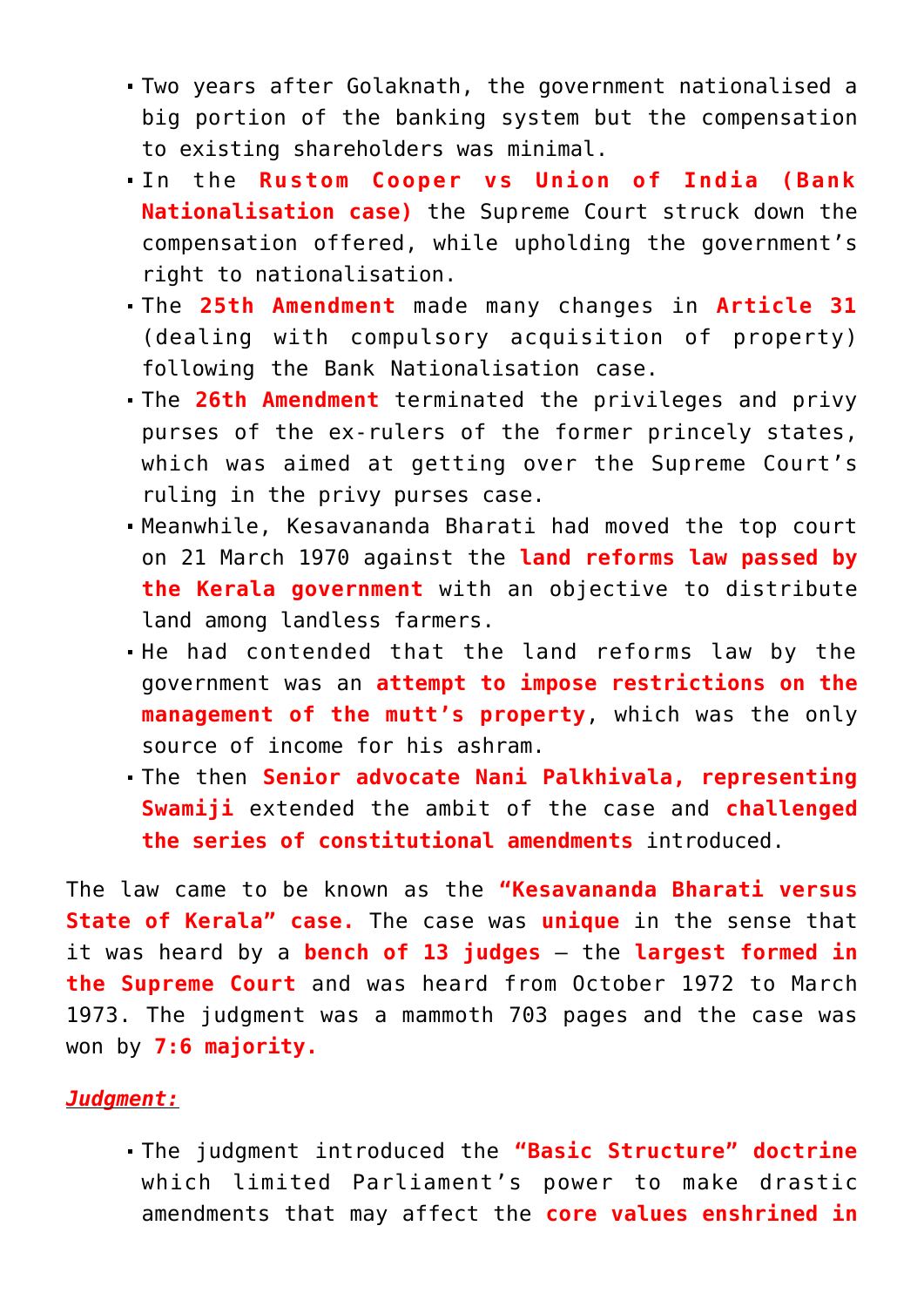- Two years after Golaknath, the government nationalised a big portion of the banking system but the compensation to existing shareholders was minimal.
- In the **Rustom Cooper vs Union of India (Bank Nationalisation case)** the Supreme Court struck down the compensation offered, while upholding the government's right to nationalisation.
- The **25th Amendment** made many changes in **Article 31** (dealing with compulsory acquisition of property) following the Bank Nationalisation case.
- The **26th Amendment** terminated the privileges and privy purses of the ex-rulers of the former princely states, which was aimed at getting over the Supreme Court's ruling in the privy purses case.
- Meanwhile, Kesavananda Bharati had moved the top court on 21 March 1970 against the **land reforms law passed by the Kerala government** with an objective to distribute land among landless farmers.
- He had contended that the land reforms law by the government was an **attempt to impose restrictions on the management of the mutt's property**, which was the only source of income for his ashram.
- The then **Senior advocate Nani Palkhivala, representing Swamiji** extended the ambit of the case and **challenged the series of constitutional amendments** introduced.

The law came to be known as the **"Kesavananda Bharati versus State of Kerala" case.** The case was **unique** in the sense that it was heard by a **bench of 13 judges** – the **largest formed in the Supreme Court** and was heard from October 1972 to March 1973. The judgment was a mammoth 703 pages and the case was won by **7:6 majority.**

#### *Judgment:*

The judgment introduced the **"Basic Structure" doctrine** which limited Parliament's power to make drastic amendments that may affect the **core values enshrined in**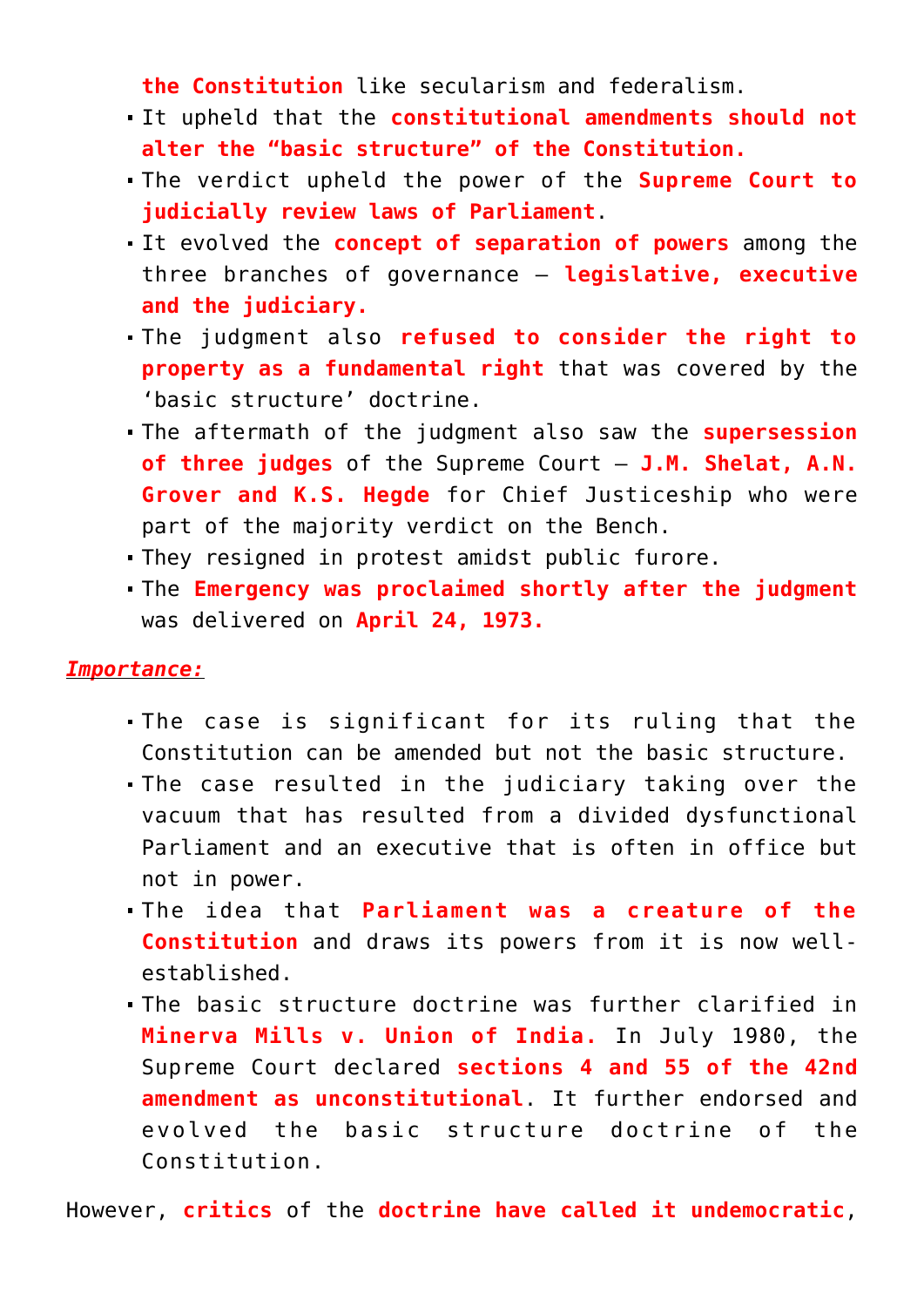**the Constitution** like secularism and federalism.

- It upheld that the **constitutional amendments should not alter the "basic structure" of the Constitution.**
- The verdict upheld the power of the **Supreme Court to judicially review laws of Parliament**.
- It evolved the **concept of separation of powers** among the three branches of governance – **legislative, executive and the judiciary.**
- The judgment also **refused to consider the right to property as a fundamental right** that was covered by the 'basic structure' doctrine.
- The aftermath of the judgment also saw the **supersession of three judges** of the Supreme Court – **J.M. Shelat, A.N. Grover and K.S. Hegde** for Chief Justiceship who were part of the majority verdict on the Bench.
- They resigned in protest amidst public furore.
- The **Emergency was proclaimed shortly after the judgment** was delivered on **April 24, 1973.**

#### *Importance:*

- The case is significant for its ruling that the Constitution can be amended but not the basic structure.
- The case resulted in the judiciary taking over the vacuum that has resulted from a divided dysfunctional Parliament and an executive that is often in office but not in power.
- The idea that **Parliament was a creature of the Constitution** and draws its powers from it is now wellestablished.
- The basic structure doctrine was further clarified in **Minerva Mills v. Union of India.** In July 1980, the Supreme Court declared **sections 4 and 55 of the 42nd amendment as unconstitutional**. It further endorsed and evolved the basic structure doctrine of the Constitution.

However, **critics** of the **doctrine have called it undemocratic**,